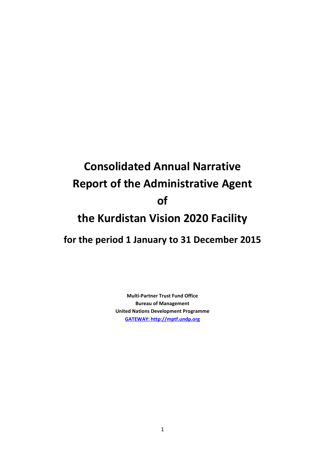# **Consolidated Annual Narrative Report of the Administrative Agent of the Kurdistan Vision 2020 Facility for the period 1 January to 31 December 2015**

**Multi-Partner Trust Fund Office Bureau of Management United Nations Development Programme [GATEWAY: http://mptf.undp.org](http://mptf.undp.org/)**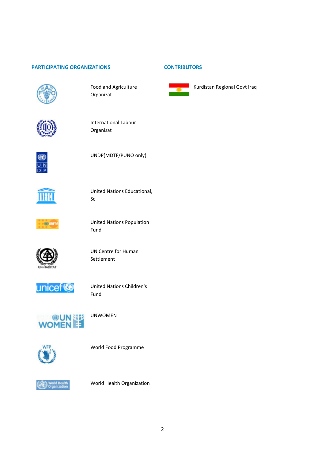#### **PARTICIPATING ORGANIZATIONS CONTRIBUTORS**



Food and Agriculture Organizat







UNDP(MDTF/PUNO only).



United Nations Educational, Sc



United Nations Population Fund



UN Centre for Human Settlement



United Nations Children's Fund



UNWOMEN



World Food Programme



World Health Organization



Kurdistan Regional Govt Iraq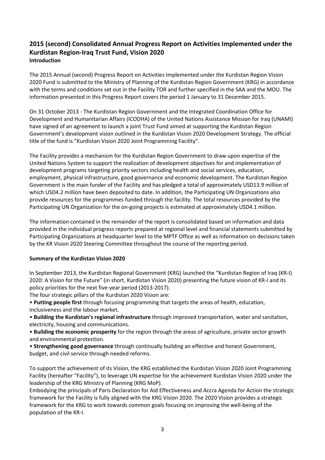# **2015 (second) Consolidated Annual Progress Report on Activities Implemented under the Kurdistan Region-Iraq Trust Fund, Vision 2020 Introduction**

The 2015 Annual (second) Progress Report on Activities Implemented under the Kurdistan Region Vision 2020 Fund is submitted to the Ministry of Planning of the Kurdistan Region Government (KRG) in accordance with the terms and conditions set out in the Facility TOR and further specified in the SAA and the MOU. The information presented in this Progress Report covers the period 1 January to 31 December 2015.

On 31 October 2013 - The Kurdistan Region Government and the Integrated Coordination Office for Development and Humanitarian Affairs (ICODHA) of the United Nations Assistance Mission for Iraq (UNAMI) have signed of an agreement to launch a joint Trust Fund aimed at supporting the Kurdistan Region Government's development vision outlined in the Kurdistan Vision 2020 Development Strategy. The official title of the fund is "Kurdistan Vision 2020 Joint Programming Facility".

The Facility provides a mechanism for the Kurdistan Region Government to draw upon expertise of the United Nations System to support the realization of development objectives for and implementation of development programs targeting priority sectors including health and social services, education, employment, physical infrastructure, good governance and economic development. The Kurdistan Region Government is the main funder of the Facility and has pledged a total of approximately USD13.9 million of which USD4.2 million have been deposited to date. In addition, the Participating UN Organizations also provide resources for the programmes funded through the facility. The total resources provided by the Participating UN Organization for the on-going projects is estimated at approximately USD4.1 million.

The information contained in the remainder of the report is consolidated based on information and data provided in the individual progress reports prepared at regional level and financial statements submitted by Participating Organizations at headquarter level to the MPTF Office as well as information on decisions taken by the KR Vision 2020 Steering Committee throughout the course of the reporting period.

# **Summary of the Kurdistan Vision 2020**

In September 2013, the Kurdistan Regional Government (KRG) launched the "Kurdistan Region of Iraq (KR-I) 2020: A Vision for the Future" (in short, Kurdistan Vision 2020) presenting the future vision of KR-I and its policy priorities for the next five-year period (2013-2017).

The four strategic pillars of the Kurdistan 2020 Vision are:

• **Putting people first** through focusing programming that targets the areas of health, education, inclusiveness and the labour market.

• **Building the Kurdistan's regional infrastructure** through improved transportation, water and sanitation, electricity, housing and communications.

• **Building the economic prosperity** for the region through the areas of agriculture, private sector growth and environmental protection.

• **Strengthening good governance** through continually building an effective and honest Government, budget, and civil service through needed reforms.

To support the achievement of its Vision, the KRG established the Kurdistan Vision 2020 Joint Programming Facility (hereafter "Facility"), to leverage UN expertise for the achievement Kurdistan Vision 2020 under the leadership of the KRG Ministry of Planning (KRG MoP).

Embodying the principals of Paris Declaration for Aid Effectiveness and Accra Agenda for Action the strategic framework for the Facility is fully aligned with the KRG Vision 2020. The 2020 Vision provides a strategic framework for the KRG to work towards common goals focusing on improving the well-being of the population of the KR-I.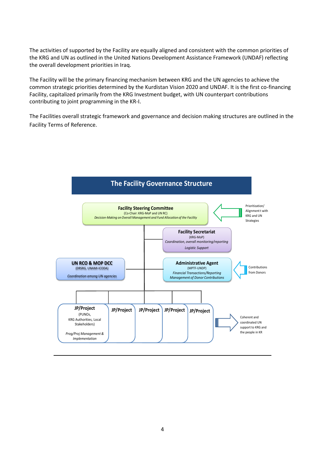The activities of supported by the Facility are equally aligned and consistent with the common priorities of the KRG and UN as outlined in the United Nations Development Assistance Framework (UNDAF) reflecting the overall development priorities in Iraq.

The Facility will be the primary financing mechanism between KRG and the UN agencies to achieve the common strategic priorities determined by the Kurdistan Vision 2020 and UNDAF. It is the first co-financing Facility, capitalized primarily from the KRG Investment budget, with UN counterpart contributions contributing to joint programming in the KR-I.

The Facilities overall strategic framework and governance and decision making structures are outlined in the Facility Terms of Reference.

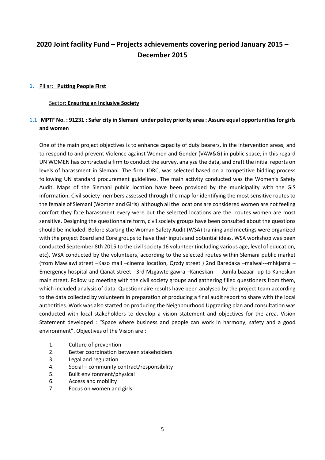# **2020 Joint facility Fund – Projects achievements covering period January 2015 – December 2015**

#### **1.** Pillar: **Putting People First**

#### Sector: **Ensuring an Inclusive Society**

# 1.1 **MPTF No. : 91231 : Safer city in Slemani under policy priority area : Assure equal opportunities for girls and women**

One of the main project objectives is to enhance capacity of duty bearers, in the intervention areas, and to respond to and prevent Violence against Women and Gender (VAW&G) in public space, in this regard UN WOMEN has contracted a firm to conduct the survey, analyze the data, and draft the initial reports on levels of harassment in Slemani. The firm, IDRC, was selected based on a competitive bidding process following UN standard procurement guidelines. The main activity conducted was the Women's Safety Audit. Maps of the Slemani public location have been provided by the municipality with the GIS information. Civil society members assessed through the map for identifying the most sensitive routes to the female of Slemani (Women and Girls) although all the locations are considered women are not feeling comfort they face harassment every were but the selected locations are the routes women are most sensitive. Designing the questionnaire form, civil society groups have been consulted about the questions should be included. Before starting the Woman Safety Audit (WSA) training and meetings were organized with the project Board and Core groups to have their inputs and potential ideas. WSA workshop was been conducted September 8th 2015 to the civil society 16 volunteer (including various age, level of education, etc). WSA conducted by the volunteers, according to the selected routes within Slemani public market (from Mawlawi street –Kaso mall –cinema location, Qrzdy street ) 2nd Baredaka –malwai---mhkjama – Emergency hospital and Qanat street 3rd Mzgawte gawra –Kaneskan --- Jumla bazaar up to Kaneskan main street. Follow up meeting with the civil society groups and gathering filled questioners from them, which included analysis of data. Questionnaire results have been analysed by the project team according to the data collected by volunteers in preparation of producing a final audit report to share with the local authotities. Work was also started on producing the Neighbourhood Upgrading plan and consultation was conducted with local stakeholders to develop a vision statement and objectives for the area. Vision Statement developed : "Space where business and people can work in harmony, safety and a good environment". Objectives of the Vision are :

- 1. Culture of prevention
- 2. Better coordination between stakeholders
- 3. Legal and regulation
- 4. Social community contract/responsibility
- 5. Built environment/physical
- 6. Access and mobility
- 7. Focus on women and girls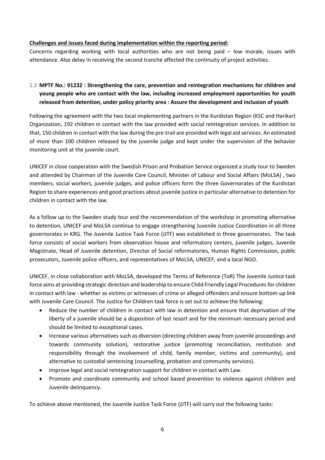# **Challenges and issues faced during implementation within the reporting period:**

Concerns regarding working with local authorities who are not being paid – low morale, issues with attendance. Also delay in receiving the second tranche affected the continuity of project activities.

# 1.2 **MPTF No.: 91232 : Strengthening the care, prevention and reintegration mechanisms for children and young people who are contact with the law, including increased employment opportunities for youth released from detention, under policy priority area : Assure the development and inclusion of youth**

Following the agreement with the two local implementing partners in the Kurdistan Region (KSC and Harikar) Organization, 192 children in contact with the law provided with social reintegration services. In addition to that, 150 children in contact with the law during the pre-trail are provided with legal aid services. An estimated of more than 100 children released by the juvenile judge and kept under the supervision of the behavior monitoring unit at the juvenile court.

UNICEF in close cooperation with the Swedish Prison and Probation Service organized a study tour to Sweden and attended by Chairman of the Juvenile Care Council, Minister of Labour and Social Affairs (MoLSA) , two members, social workers, juvenile judges, and police officers form the three Governorates of the Kurdistan Region to share experiences and good practices about juvenile justice in particular alternative to detention for children in contact with the law.

As a follow up to the Sweden study tour and the recommendation of the workshop in promoting alternative to detention, UNICEF and MoLSA continue to engage strengthening Juvenile Justice Coordination in all three governorates in KRG. The Juvenile Justice Task Force (JJTF) was established in three governorates. The task force consists of social workers from observation house and reformatory centers, juvenile judges, Juvenile Magistrate, Head of Juvenile detention, Director of Social reformatories, Human Rights Commission, public prosecutors, Juvenile police officers, and representatives of MoLSA, UNICEF, and a local NGO.

UNICEF, in close collaboration with MoLSA, developed the Terms of Reference (ToR) The Juvenile Justice task force aims at providing strategic direction and leadership to ensure Child Friendly Legal Procedures for children in contact with law - whether as victims or witnesses of crime or alleged offenders and ensure bottom-up link with Juvenile Care Council. The Justice for Children task force is set out to achieve the following:

- Reduce the number of children in contact with law in detention and ensure that deprivation of the liberty of a juvenile should be a disposition of last resort and for the minimum necessary period and should be limited to exceptional cases.
- Increase various alternatives such as diversion (directing children away from juvenile proceedings and towards community solution), restorative justice (promoting reconciliation, restitution and responsibility through the involvement of child, family member, victims and community), and alternative to custodial sentencing (counselling, probation and community services).
- Improve legal and social reintegration support for children in contact with Law.
- Promote and coordinate community and school based prevention to violence against children and Juvenile delinquency.

To achieve above mentioned, the Juvenile Justice Task Force (JJTF) will carry out the following tasks: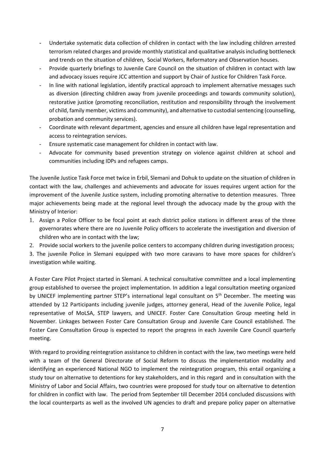- Undertake systematic data collection of children in contact with the law including children arrested terrorism related charges and provide monthly statistical and qualitative analysis including bottleneck and trends on the situation of children, Social Workers, Reformatory and Observation houses.
- Provide quarterly briefings to Juvenile Care Council on the situation of children in contact with law and advocacy issues require JCC attention and support by Chair of Justice for Children Task Force.
- In line with national legislation, identify practical approach to implement alternative messages such as diversion (directing children away from juvenile proceedings and towards community solution), restorative justice (promoting reconciliation, restitution and responsibility through the involvement of child, family member, victims and community), and alternative to custodial sentencing (counselling, probation and community services).
- Coordinate with relevant department, agencies and ensure all children have legal representation and access to reintegration services.
- Ensure systematic case management for children in contact with law.
- Advocate for community based prevention strategy on violence against children at school and communities including IDPs and refugees camps.

The Juvenile Justice Task Force met twice in Erbil, Slemani and Dohuk to update on the situation of children in contact with the law, challenges and achievements and advocate for issues requires urgent action for the improvement of the Juvenile Justice system, including promoting alternative to detention measures. Three major achievements being made at the regional level through the advocacy made by the group with the Ministry of Interior:

- 1. Assign a Police Officer to be focal point at each district police stations in different areas of the three governorates where there are no Juvenile Policy officers to accelerate the investigation and diversion of children who are in contact with the law;
- 2. Provide social workers to the juvenile police centers to accompany children during investigation process;

3. The juvenile Police in Slemani equipped with two more caravans to have more spaces for children's investigation while waiting.

A Foster Care Pilot Project started in Slemani. A technical consultative committee and a local implementing group established to oversee the project implementation. In addition a legal consultation meeting organized by UNICEF implementing partner STEP's international legal consultant on 5<sup>th</sup> December. The meeting was attended by 12 Participants including juvenile judges, attorney general, Head of the Juvenile Police, legal representative of MoLSA, STEP lawyers, and UNICEF. Foster Care Consultation Group meeting held in November. Linkages between Foster Care Consultation Group and Juvenile Care Council established. The Foster Care Consultation Group is expected to report the progress in each Juvenile Care Council quarterly meeting.

With regard to providing reintegration assistance to children in contact with the law, two meetings were held with a team of the General Directorate of Social Reform to discuss the implementation modality and identifying an experienced National NGO to implement the reintegration program, this entail organizing a study tour on alternative to detentions for key stakeholders, and in this regard and in consultation with the Ministry of Labor and Social Affairs, two countries were proposed for study tour on alternative to detention for children in conflict with law. The period from September till December 2014 concluded discussions with the local counterparts as well as the involved UN agencies to draft and prepare policy paper on alternative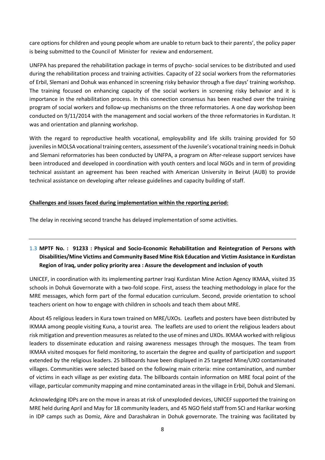care options for children and young people whom are unable to return back to their parents', the policy paper is being submitted to the Council of Minister for review and endorsement.

UNFPA has prepared the rehabilitation package in terms of psycho- social services to be distributed and used during the rehabilitation process and training activities. Capacity of 22 social workers from the reformatories of Erbil, Slemani and Dohuk was enhanced in screening risky behavior through a five days' training workshop. The training focused on enhancing capacity of the social workers in screening risky behavior and it is importance in the rehabilitation process. In this connection consensus has been reached over the training program of social workers and follow-up mechanisms on the three reformatories. A one day workshop been conducted on 9/11/2014 with the management and social workers of the three reformatories in Kurdistan. It was and orientation and planning workshop.

With the regard to reproductive health vocational, employability and life skills training provided for 50 juveniles in MOLSA vocational training centers, assessment of the Juvenile's vocational training needs in Dohuk and Slemani reformatories has been conducted by UNFPA, a program on After-release support services have been introduced and developed in coordination with youth centers and local NGOs and in term of providing technical assistant an agreement has been reached with American University in Beirut (AUB) to provide technical assistance on developing after release guidelines and capacity building of staff.

# **Challenges and issues faced during implementation within the reporting period:**

The delay in receiving second tranche has delayed implementation of some activities.

# 1.3 **MPTF No. : 91233 : Physical and Socio-Economic Rehabilitation and Reintegration of Persons with Disabilities/Mine Victims and Community Based Mine Risk Education and Victim Assistance in Kurdistan Region of Iraq, under policy priority area : Assure the development and inclusion of youth**

UNICEF, in coordination with its implementing partner Iraqi Kurdistan Mine Action Agency IKMAA, visited 35 schools in Dohuk Governorate with a two-fold scope. First, assess the teaching methodology in place for the MRE messages, which form part of the formal education curriculum. Second, provide orientation to school teachers orient on how to engage with children in schools and teach them about MRE.

About 45 religious leaders in Kura town trained on MRE/UXOs. Leaflets and posters have been distributed by IKMAA among people visiting Kuna, a tourist area. The leaflets are used to orient the religious leaders about risk mitigation and prevention measures as related to the use of mines and UXOs. IKMAA worked with religious leaders to disseminate education and raising awareness messages through the mosques. The team from IKMAA visited mosques for field monitoring, to ascertain the degree and quality of participation and support extended by the religious leaders. 25 billboards have been displayed in 25 targeted Mine/UXO contaminated villages. Communities were selected based on the following main criteria: mine contamination, and number of victims in each village as per existing data. The billboards contain information on MRE focal point of the village, particular community mapping and mine contaminated areas in the village in Erbil, Dohuk and Slemani.

Acknowledging IDPs are on the move in areas at risk of unexploded devices, UNICEF supported the training on MRE held during April and May for 18 community leaders, and 45 NGO field staff from SCI and Harikar working in IDP camps such as Domiz, Akre and Darashakran in Dohuk governorate. The training was facilitated by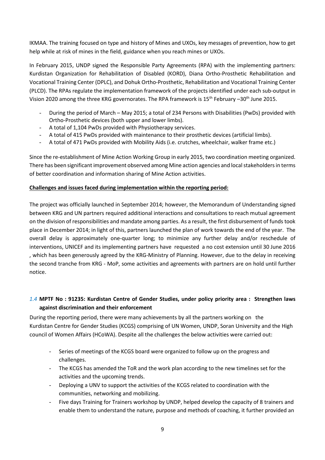IKMAA. The training focused on type and history of Mines and UXOs, key messages of prevention, how to get help while at risk of mines in the field, guidance when you reach mines or UXOs.

In February 2015, UNDP signed the Responsible Party Agreements (RPA) with the implementing partners: Kurdistan Organization for Rehabilitation of Disabled (KORD), Diana Ortho-Prosthetic Rehabilitation and Vocational Training Center (DPLC), and Dohuk Ortho-Prosthetic, Rehabilitation and Vocational Training Center (PLCD). The RPAs regulate the implementation framework of the projects identified under each sub-output in Vision 2020 among the three KRG governorates. The RPA framework is 15<sup>th</sup> February –30<sup>th</sup> June 2015.

- During the period of March May 2015; a total of 234 Persons with Disabilities (PwDs) provided with Ortho-Prosthetic devices (both upper and lower limbs).
- A total of 1,104 PwDs provided with Physiotherapy services.
- A total of 415 PwDs provided with maintenance to their prosthetic devices (artificial limbs).
- A total of 471 PwDs provided with Mobility Aids (i.e. crutches, wheelchair, walker frame etc.)

Since the re-establishment of Mine Action Working Group in early 2015, two coordination meeting organized. There has been significant improvement observed among Mine action agencies and local stakeholders in terms of better coordination and information sharing of Mine Action activities.

# **Challenges and issues faced during implementation within the reporting period:**

The project was officially launched in September 2014; however, the Memorandum of Understanding signed between KRG and UN partners required additional interactions and consultations to reach mutual agreement on the division of responsibilities and mandate among parties. As a result, the first disbursement of funds took place in December 2014; in light of this, partners launched the plan of work towards the end of the year. The overall delay is approximately one-quarter long; to minimize any further delay and/or reschedule of interventions, UNICEF and its implementing partners have requested a no cost extension until 30 June 2016 , which has been generously agreed by the KRG-Ministry of Planning. However, due to the delay in receiving the second tranche from KRG - MoP, some activities and agreements with partners are on hold until further notice.

# *1.4* **MPTF No : 91235: Kurdistan Centre of Gender Studies, under policy priority area : Strengthen laws against discrimination and their enforcement**

During the reporting period, there were many achievements by all the partners working on the Kurdistan Centre for Gender Studies (KCGS) comprising of UN Women, UNDP, Soran University and the High council of Women Affairs (HCoWA). Despite all the challenges the below activities were carried out:

- Series of meetings of the KCGS board were organized to follow up on the progress and challenges.
- The KCGS has amended the ToR and the work plan according to the new timelines set for the activities and the upcoming trends.
- Deploying a UNV to support the activities of the KCGS related to coordination with the communities, networking and mobilizing.
- Five days Training for Trainers workshop by UNDP, helped develop the capacity of 8 trainers and enable them to understand the nature, purpose and methods of coaching, it further provided an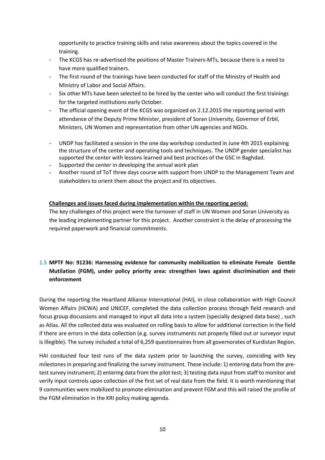opportunity to practice training skills and raise awareness about the topics covered in the training.

- The KCGS has re-advertised the positions of Master Trainers-MTs, because there is a need to have more qualified trainers.
- The first round of the trainings have been conducted for staff of the Ministry of Health and Ministry of Labor and Social Affairs.
- Six other MTs have been selected to be hired by the center who will conduct the first trainings for the targeted institutions early October.
- The official opening event of the KCGS was organized on 2.12.2015 the reporting period with attendance of the Deputy Prime Minister, president of Soran University, Governor of Erbil, Ministers, UN Women and representation from other UN agencies and NGOs.
- UNDP has facilitated a session in the one day workshop conducted in June 4th 2015 explaining the structure of the center and operating tools and techniques. The UNDP gender specialist has supported the center with lessons learned and best practices of the GSC in Baghdad.
- Supported the center in developing the annual work plan
- Another round of ToT three days course with support from UNDP to the Management Team and stakeholders to orient them about the project and its objectives.

### **Challenges and issues faced during implementation within the reporting period:**

The key challenges of this project were the turnover of staff in UN Women and Soran University as the leading implementing partner for this project. Another constraint is the delay of processing the required paperwork and financial commitments.

# 1.5 **MPTF No: 91236: Harnessing evidence for community mobilization to eliminate Female Gentile Mutilation (FGM), under policy priority area: strengthen laws against discrimination and their enforcement**

During the reporting the Heartland Alliance International (HAI), in close collaboration with High Council Women Affairs (HCWA) and UNICEF, completed the data collection process through field research and focus group discussions and managed to input all data into a system (specially designed data base) , such as Atlas. All the collected data was evaluated on rolling basis to allow for additional correction in the field if there are errors in the data collection (e.g. survey instruments not properly filled out or surveyor input is illegible). The survey included a total of 6,259 questionnaires from all governorates of Kurdistan Region.

HAI conducted four test runs of the data system prior to launching the survey, coinciding with key milestones in preparing and finalizing the survey instrument. These include: 1) entering data from the pretest survey instrument; 2) entering data from the pilot test; 3) testing data input from staff to monitor and verify input controls upon collection of the first set of real data from the field. It is worth mentioning that 9 communities were mobilized to promote elimination and prevent FGM and this will raised the profile of the FGM elimination in the KRI policy making agenda.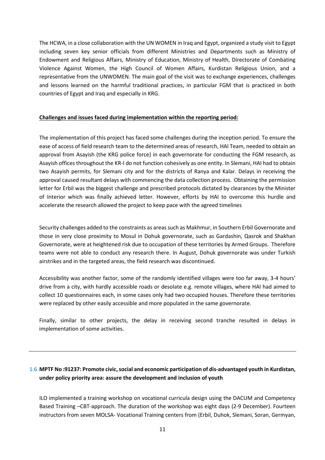The HCWA, in a close collaboration with the UN WOMEN in Iraq and Egypt, organized a study visit to Egypt including seven key senior officials from different Ministries and Departments such as Ministry of Endowment and Religious Affairs, Ministry of Education, Ministry of Health, Directorate of Combating Violence Against Women, the High Council of Women Affairs, Kurdistan Religious Union, and a representative from the UNWOMEN. The main goal of the visit was to exchange experiences, challenges and lessons learned on the harmful traditional practices, in particular FGM that is practiced in both countries of Egypt and Iraq and especially in KRG.

#### **Challenges and issues faced during implementation within the reporting period:**

The implementation of this project has faced some challenges during the inception period. To ensure the ease of access of field research team to the determined areas of research, HAI Team, needed to obtain an approval from Asayish (the KRG police force) in each governorate for conducting the FGM research, as Asayish offices throughout the KR-I do not function cohesively as one entity. In Slemani, HAI had to obtain two Asayish permits, for Slemani city and for the districts of Ranya and Kalar. Delays in receiving the approval caused resultant delays with commencing the data collection process. Obtaining the permission letter for Erbil was the biggest challenge and prescribed protocols dictated by clearances by the Minister of Interior which was finally achieved letter. However, efforts by HAI to overcome this hurdle and accelerate the research allowed the project to keep pace with the agreed timelines

Security challenges added to the constraints as areas such as Makhmur, in Southern Erbil Governorate and those in very close proximity to Mosul in Dohuk governorate, such as Gardashin, Qasrok and Shakhan Governorate, were at heightened risk due to occupation of these territories by Armed Groups. Therefore teams were not able to conduct any research there. In August, Dohuk governorate was under Turkish airstrikes and in the targeted areas, the field research was discontinued.

Accessibility was another factor, some of the randomly identified villages were too far away, 3-4 hours' drive from a city, with hardly accessible roads or desolate e.g. remote villages, where HAI had aimed to collect 10 questionnaires each, in some cases only had two occupied houses. Therefore these territories were replaced by other easily accessible and more populated in the same governorate.

Finally, similar to other projects, the delay in receiving second tranche resulted in delays in implementation of some activities.

# 1.6 **MPTF No :91237: Promote civic, social and economic participation of dis-advantaged youth in Kurdistan, under policy priority area: assure the development and inclusion of youth**

ILO implemented a training workshop on vocational curricula design using the DACUM and Competency Based Training –CBT-approach. The duration of the workshop was eight days (2-9 December). Fourteen instructors from seven MOLSA- Vocational Training centers from (Erbil, Duhok, Slemani, Soran, Germyan,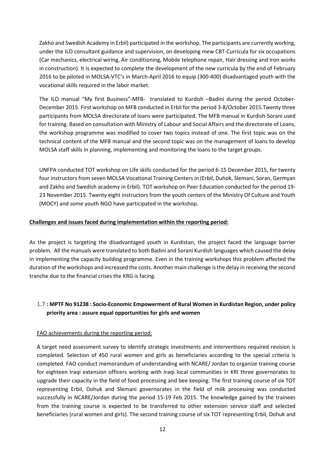Zakho and Swedish Academy in Erbil) participated in the workshop. The participants are currently working, under the ILO consultant guidance and supervision, on developing mew CBT-Curricula for six occupations (Car mechanics, electrical wiring, Air conditioning, Mobile telephone repair, Hair dressing and Iron works in construction). It is expected to complete the development of the new curricula by the end of February 2016 to be piloted in MOLSA-VTC's in March-April 2016 to equip (300-400) disadvantaged youth with the vocational skills required in the labor market.

The ILO manual "My first Business"-MFB- translated to Kurdish –Badini during the period October-December 2015. First workshop on MFB conducted in Erbil for the period 3-8/October 2015.Twenty three participants from MOLSA directorate of loans were participated. The MFB manual in Kurdish-Sorani used for training. Based on consultation with Ministry of Labour and Social Affairs and the directorate of Loans, the workshop programme was modified to cover two topics instead of one. The first topic was on the technical content of the MFB manual and the second topic was on the management of loans to develop MOLSA staff skills in planning, implementing and monitoring the loans to the target groups.

UNFPA conducted TOT workshop on Life skills conducted for the period 6-15 December 2015, for twenty four instructors from seven MOLSA Vocational Training Centers in (Erbil, Duhok, Slemani, Soran, Germyan and Zakho and Swedish academy in Erbil). TOT workshop on Peer Education conducted for the period 19- 23 November 2015. Twenty eight instructors from the youth centers of the Ministry Of Culture and Youth (MOCY) and some youth NGO have participated in the workshop.

# **Challenges and issues faced during implementation within the reporting period:**

As the project is targeting the disadvantaged youth in Kurdistan, the project faced the language barrier problem. All the manuals were translated to both Badini and Sorani Kurdish languages which caused the delay in implementing the capacity building programme. Even in the training workshops this problem affected the duration of the workshops and increased the costs. Another main challenge is the delay in receiving the second tranche due to the financial crises the KRG is facing.

# **1.7 : MPTF No 91238 : Socio-Economic Empowerment of Rural Women in Kurdistan Region, under policy priority area : assure equal opportunities for girls and women**

# FAO achievements during the reporting period:

A target need assessment survey to identify strategic investments and interventions required revision is completed. Selection of 450 rural women and girls as beneficiaries according to the special criteria is completed. FAO conduct memorandum of understanding with NCARE/ Jordan to organize training course for eighteen Iraqi extension officers working with Iraqi local communities in KRI three governorates to upgrade their capacity in the field of food processing and bee keeping. The first training course of six TOT representing Erbil, Dohuk and Slemani governorates in the field of milk processing was conducted successfully in NCARE/Jordan during the period 15-19 Feb 2015. The knowledge gained by the trainees from the training course is expected to be transferred to other extension service staff and selected beneficiaries (rural women and girls). The second training course of six TOT representing Erbil, Dohuk and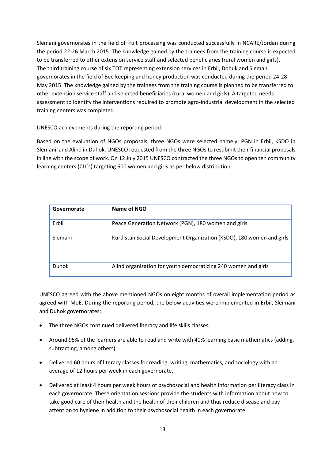Slemani governorates in the field of fruit processing was conducted successfully in NCARE/Jordan during the period 22-26 March 2015. The knowledge gained by the trainees from the training course is expected to be transferred to other extension service staff and selected beneficiaries (rural women and girls). The third training course of six TOT representing extension services in Erbil, Dohuk and Slemani governorates in the field of Bee keeping and honey production was conducted during the period 24-28 May 2015. The knowledge gained by the trainees from the training course is planned to be transferred to other extension service staff and selected beneficiaries (rural women and girls). A targeted needs assessment to identify the interventions required to promote agro-industrial development in the selected training centers was completed.

# UNESCO achievements during the reporting period:

Based on the evaluation of NGOs proposals, three NGOs were selected namely; PGN in Erbil, KSDO in Slemani and Alind in Duhok. UNESCO requested from the three NGOs to resubmit their financial proposals in line with the scope of work. On 12 July 2015 UNESCO contracted the three NGOs to open ten community learning centers (CLCs) targeting 600 women and girls as per below distribution:

| Governorate  | Name of NGO                                                           |
|--------------|-----------------------------------------------------------------------|
| Erbil        | Peace Generation Network (PGN), 180 women and girls                   |
| Slemani      | Kurdistan Social Development Organization (KSDO), 180 women and girls |
| <b>Duhok</b> | Alind organization for youth democratizing 240 women and girls        |

UNESCO agreed with the above mentioned NGOs on eight months of overall implementation period as agreed with MoE. During the reporting period, the below activities were implemented in Erbil, Sleimani and Duhok governorates:

- The three NGOs continued delivered literacy and life skills classes;
- Around 95% of the learners are able to read and write with 40% learning basic mathematics (adding, subtracting, among others)
- Delivered 60 hours of literacy classes for reading, writing, mathematics, and sociology with an average of 12 hours per week in each governorate.
- Delivered at least 4 hours per week hours of psychosocial and health information per literacy class in each governorate. These orientation sessions provide the students with information about how to take good care of their health and the health of their children and thus reduce disease and pay attention to hygiene in addition to their psychosocial health in each governorate.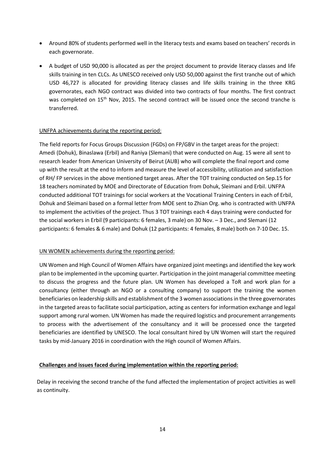- Around 80% of students performed well in the literacy tests and exams based on teachers' records in each governorate.
- A budget of USD 90,000 is allocated as per the project document to provide literacy classes and life skills training in ten CLCs. As UNESCO received only USD 50,000 against the first tranche out of which USD 46,727 is allocated for providing literacy classes and life skills training in the three KRG governorates, each NGO contract was divided into two contracts of four months. The first contract was completed on 15<sup>th</sup> Nov, 2015. The second contract will be issued once the second tranche is transferred.

### UNFPA achievements during the reporting period:

The field reports for Focus Groups Discussion (FGDs) on FP/GBV in the target areas for the project: Amedi (Dohuk), Binaslawa (Erbil) and Raniya (Slemani) that were conducted on Aug. 15 were all sent to research leader from American University of Beirut (AUB) who will complete the final report and come up with the result at the end to inform and measure the level of accessibility, utilization and satisfaction of RH/ FP services in the above mentioned target areas. After the TOT training conducted on Sep.15 for 18 teachers nominated by MOE and Directorate of Education from Dohuk, Sleimani and Erbil. UNFPA conducted additional TOT trainings for social workers at the Vocational Training Centers in each of Erbil, Dohuk and Sleimani based on a formal letter from MOE sent to Zhian Org. who is contracted with UNFPA to implement the activities of the project. Thus 3 TOT trainings each 4 days training were conducted for the social workers in Erbil (9 participants: 6 females, 3 male) on 30 Nov. – 3 Dec., and Slemani (12 participants: 6 females & 6 male) and Dohuk (12 participants: 4 females, 8 male) both on 7-10 Dec. 15.

#### UN WOMEN achievements during the reporting period:

UN Women and High Council of Women Affairs have organized joint meetings and identified the key work plan to be implemented in the upcoming quarter. Participation in the joint managerial committee meeting to discuss the progress and the future plan. UN Women has developed a ToR and work plan for a consultancy (either through an NGO or a consulting company) to support the training the women beneficiaries on leadership skills and establishment of the 3 women associations in the three governorates in the targeted areas to facilitate social participation, acting as centers for information exchange and legal support among rural women. UN Women has made the required logistics and procurement arrangements to process with the advertisement of the consultancy and it will be processed once the targeted beneficiaries are identified by UNESCO. The local consultant hired by UN Women will start the required tasks by mid-January 2016 in coordination with the High council of Women Affairs.

#### **Challenges and issues faced during implementation within the reporting period:**

Delay in receiving the second tranche of the fund affected the implementation of project activities as well as continuity.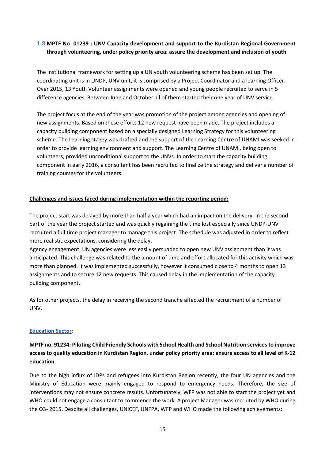# **1.8 MPTF No 01239 : UNV Capacity development and support to the Kurdistan Regional Government through volunteering, under policy priority area: assure the development and inclusion of youth**

The institutional framework for setting up a UN youth volunteering scheme has been set up. The coordinating unit is in UNDP, UNV unit, it is comprised by a Project Coordinator and a learning Officer. Over 2015, 13 Youth Volunteer assignments were opened and young people recruited to serve in 5 difference agencies. Between June and October all of them started their one year of UNV service.

The project focus at the end of the year was promotion of the project among agencies and opening of new assignments. Based on these efforts 12 new request have been made. The project includes a capacity building component based on a specially designed Learning Strategy for this volunteering scheme. The Learning stagey was drafted and the support of the Learning Centre of UNAMI was seeked in order to provide learning environment and support. The Learning Centre of UNAMI, being open to volunteers, provided unconditional support to the UNVs. In order to start the capacity building component in early 2016, a consultant has been recruited to finalize the strategy and deliver a number of training courses for the volunteers.

### **Challenges and issues faced during implementation within the reporting period:**

The project start was delayed by more than half a year which had an impact on the delivery. In the second part of the year the project started and was quickly regaining the time lost especially since UNDP-UNV recruited a full time project manager to manage this project. The schedule was adjusted in order to reflect more realistic expectations, considering the delay.

Agency engagement: UN agencies were less easily persuaded to open new UNV assignment than it was anticipated. This challenge was related to the amount of time and effort allocated for this activity which was more than planned. It was implemented successfully, however it consumed close to 4 months to open 13 assignments and to secure 12 new requests. This caused delay in the implementation of the capacity building component.

As for other projects, the delay in receiving the second tranche affected the recruitment of a number of UNV.

#### **Education Sector:**

# **MPTF no. 91234: Piloting Child Friendly Schools with School Health and School Nutrition services to improve access to quality education in Kurdistan Region, under policy priority area: ensure access to all level of K-12 education**

Due to the high influx of IDPs and refugees into Kurdistan Region recently, the four UN agencies and the Ministry of Education were mainly engaged to respond to emergency needs. Therefore, the size of interventions may not ensure concrete results. Unfortunately, WFP was not able to start the project yet and WHO could not engage a consultant to commence the work. A project Manager was recruited by WHO during the Q3- 2015. Despite all challenges, UNICEF, UNFPA, WFP and WHO made the following achievements: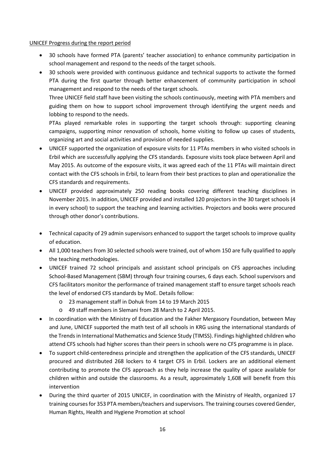#### UNICEF Progress during the report period

- 30 schools have formed PTA (parents' teacher association) to enhance community participation in school management and respond to the needs of the target schools.
- 30 schools were provided with continuous guidance and technical supports to activate the formed PTA during the first quarter through better enhancement of community participation in school management and respond to the needs of the target schools.

Three UNICEF field staff have been visiting the schools continuously, meeting with PTA members and guiding them on how to support school improvement through identifying the urgent needs and lobbing to respond to the needs.

PTAs played remarkable roles in supporting the target schools through: supporting cleaning campaigns, supporting minor renovation of schools, home visiting to follow up cases of students, organizing art and social activities and provision of needed supplies.

- UNICEF supported the organization of exposure visits for 11 PTAs members in who visited schools in Erbil which are successfully applying the CFS standards. Exposure visits took place between April and May 2015. As outcome of the exposure visits, it was agreed each of the 11 PTAs will maintain direct contact with the CFS schools in Erbil, to learn from their best practices to plan and operationalize the CFS standards and requirements.
- UNICEF provided approximately 250 reading books covering different teaching disciplines in November 2015. In addition, UNICEF provided and installed 120 projectors in the 30 target schools (4 in every school) to support the teaching and learning activities. Projectors and books were procured through other donor's contributions.
- Technical capacity of 29 admin supervisors enhanced to support the target schools to improve quality of education.
- All 1,000 teachers from 30 selected schools were trained, out of whom 150 are fully qualified to apply the teaching methodologies.
- UNICEF trained 72 school principals and assistant school principals on CFS approaches including School-Based Management (SBM) through four training courses, 6 days each. School supervisors and CFS facilitators monitor the performance of trained management staff to ensure target schools reach the level of endorsed CFS standards by MoE. Details follow:
	- o 23 management staff in Dohuk from 14 to 19 March 2015
	- o 49 staff members in Slemani from 28 March to 2 April 2015.
- In coordination with the Ministry of Education and the Fakher Mergasory Foundation, between May and June, UNICEF supported the math test of all schools in KRG using the international standards of the Trends in International Mathematics and Science Study (TIMSS). Findings highlighted children who attend CFS schools had higher scores than their peers in schools were no CFS programme is in place.
- To support child-centeredness principle and strengthen the application of the CFS standards, UNICEF procured and distributed 268 lockers to 4 target CFS in Erbil. Lockers are an additional element contributing to promote the CFS approach as they help increase the quality of space available for children within and outside the classrooms. As a result, approximately 1,608 will benefit from this intervention
- During the third quarter of 2015 UNICEF, in coordination with the Ministry of Health, organized 17 training courses for 353 PTA members/teachers and supervisors. The training courses covered Gender, Human Rights, Health and Hygiene Promotion at school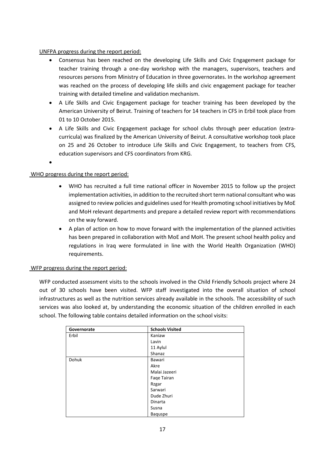# UNFPA progress during the report period:

- Consensus has been reached on the developing Life Skills and Civic Engagement package for teacher training through a one-day workshop with the managers, supervisors, teachers and resources persons from Ministry of Education in three governorates. In the workshop agreement was reached on the process of developing life skills and civic engagement package for teacher training with detailed timeline and validation mechanism.
- A Life Skills and Civic Engagement package for teacher training has been developed by the American University of Beirut. Training of teachers for 14 teachers in CFS in Erbil took place from 01 to 10 October 2015.
- A Life Skills and Civic Engagement package for school clubs through peer education (extracurricula) was finalized by the American University of Beirut. A consultative workshop took place on 25 and 26 October to introduce Life Skills and Civic Engagement, to teachers from CFS, education supervisors and CFS coordinators from KRG.

•

### WHO progress during the report period:

- WHO has recruited a full time national officer in November 2015 to follow up the project implementation activities, in addition to the recruited short term national consultant who was assigned to review policies and guidelines used for Health promoting school initiatives by MoE and MoH relevant departments and prepare a detailed review report with recommendations on the way forward.
- A plan of action on how to move forward with the implementation of the planned activities has been prepared in collaboration with MoE and MoH. The present school health policy and regulations in Iraq were formulated in line with the World Health Organization (WHO) requirements.

#### WFP progress during the report period:

WFP conducted assessment visits to the schools involved in the Child Friendly Schools project where 24 out of 30 schools have been visited. WFP staff investigated into the overall situation of school infrastructures as well as the nutrition services already available in the schools. The accessibility of such services was also looked at, by understanding the economic situation of the children enrolled in each school. The following table contains detailed information on the school visits:

| Governorate | <b>Schools Visited</b> |
|-------------|------------------------|
| Erbil       | Kaniaw                 |
|             | Lavin                  |
|             | 11 Aylul               |
|             | Shanaz                 |
| Dohuk       | Bawari                 |
|             | Akre                   |
|             | Malai Jazeeri          |
|             | Fage Tairan            |
|             | Rzgar                  |
|             | Sarwari                |
|             | Dude Zhuri             |
|             | Dinarta                |
|             | Susna                  |
|             | Baquspe                |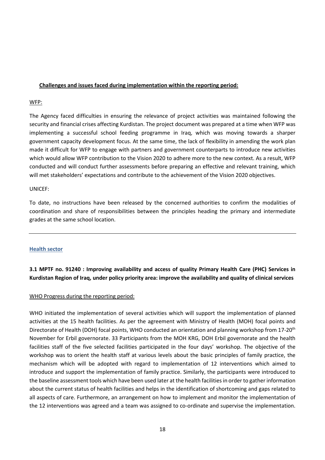# **Challenges and issues faced during implementation within the reporting period:**

#### WFP:

The Agency faced difficulties in ensuring the relevance of project activities was maintained following the security and financial crises affecting Kurdistan. The project document was prepared at a time when WFP was implementing a successful school feeding programme in Iraq, which was moving towards a sharper government capacity development focus. At the same time, the lack of flexibility in amending the work plan made it difficult for WFP to engage with partners and government counterparts to introduce new activities which would allow WFP contribution to the Vision 2020 to adhere more to the new context. As a result, WFP conducted and will conduct further assessments before preparing an effective and relevant training, which will met stakeholders' expectations and contribute to the achievement of the Vision 2020 objectives.

#### UNICEF:

To date, no instructions have been released by the concerned authorities to confirm the modalities of coordination and share of responsibilities between the principles heading the primary and intermediate grades at the same school location.

#### **Health sector**

# **3.1 MPTF no. 91240 : Improving availability and access of quality Primary Health Care (PHC) Services in Kurdistan Region of Iraq, under policy priority area: improve the availability and quality of clinical services**

# WHO Progress during the reporting period:

WHO initiated the implementation of several activities which will support the implementation of planned activities at the 15 health facilities. As per the agreement with Ministry of Health (MOH) focal points and Directorate of Health (DOH) focal points, WHO conducted an orientation and planning workshop from 17-20<sup>th</sup> November for Erbil governorate. 33 Participants from the MOH KRG, DOH Erbil governorate and the health facilities staff of the five selected facilities participated in the four days' workshop. The objective of the workshop was to orient the health staff at various levels about the basic principles of family practice, the mechanism which will be adopted with regard to implementation of 12 interventions which aimed to introduce and support the implementation of family practice. Similarly, the participants were introduced to the baseline assessment tools which have been used later at the health facilities in order to gather information about the current status of health facilities and helps in the identification of shortcoming and gaps related to all aspects of care. Furthermore, an arrangement on how to implement and monitor the implementation of the 12 interventions was agreed and a team was assigned to co-ordinate and supervise the implementation.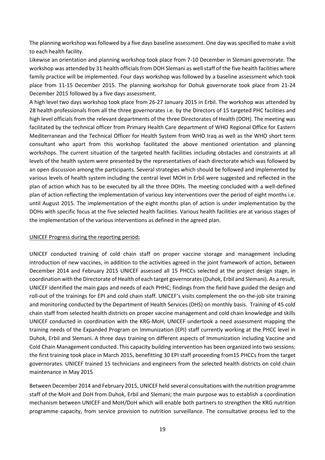The planning workshop was followed by a five days baseline assessment. One day was specified to make a visit to each health facility.

Likewise an orientation and planning workshop took place from 7-10 December in Slemani governorate. The workshop was attended by 31 health officials from DOH Slemani as well staff of the five health facilities where family practice will be implemented. Four days workshop was followed by a baseline assessment which took place from 11-15 December 2015. The planning workshop for Dohuk governorate took place from 21-24 December 2015 followed by a five days assessment.

A high level two days workshop took place from 26-27 January 2015 in Erbil. The workshop was attended by 28 health professionals from all the three governorates i.e. by the Directors of 15 targeted PHC facilities and high level officials from the relevant departments of the three Directorates of Health (DOH). The meeting was facilitated by the technical officer from Primary Health Care department of WHO Regional Office for Eastern Mediterranean and the Technical Officer for Health System from WHO Iraq as well as the WHO short term consultant who apart from this workshop facilitated the above mentioned orientation and planning workshops. The current situation of the targeted health facilities including obstacles and constraints at all levels of the health system were presented by the representatives of each directorate which was followed by an open discussion among the participants. Several strategies which should be followed and implemented by various levels of health system including the central level MOH in Erbil were suggested and reflected in the plan of action which has to be executed by all the three DOHs. The meeting concluded with a well-defined plan of action reflecting the implementation of various key interventions over the period of eight months i.e. until August 2015. The implementation of the eight months plan of action is under implementation by the DOHs with specific focus at the five selected health facilities. Various health facilities are at various stages of the implementation of the various interventions as defined in the agreed plan.

# UNICEF Progress during the reporting period**:**

UNICEF conducted training of cold chain staff on proper vaccine storage and management including introduction of new vaccines, in addition to the activities agreed in the joint framework of action, between December 2014 and February 2015 UNICEF assessed all 15 PHCCs selected at the project design stage, in coordination with the Directorate of Health of each target governorates (Duhok, Erbil and Slemani). As a result, UNICEF identified the main gaps and needs of each PHHC; findings from the field have guided the design and roll-out of the trainings for EPI and cold chain staff. UNICEF's visits complement the on-the-job site training and monitoring conducted by the Department of Health Services (DHS) on monthly basis. Training of 45 cold chain staff from selected health districts on proper vaccine management and cold chain knowledge and skills UNICEF conducted in coordination with the KRG-MoH, UNICEF undertook a need assessment mapping the training needs of the Expanded Program on Immunization (EPI) staff currently working at the PHCC level in Duhok, Erbil and Slemani. A three days training on different aspects of Immunization including Vaccine and Cold Chain Management conducted. This capacity building intervention has been organized into two sessions: the first training took place in March 2015, benefitting 30 EPI staff proceeding from15 PHCCs from the target governorates. UNICEF trained 15 technicians and engineers from the selected health districts on cold chain maintenance in May 2015

Between December 2014 and February 2015, UNICEF held several consultations with the nutrition programme staff of the MoH and DoH from Duhok, Erbil and Slemani; the main purpose was to establish a coordination mechanism between UNICEF and MoH/DoH which will enable both partners to strengthen the KRG nutrition programme capacity, from service provision to nutrition surveillance. The consultative process led to the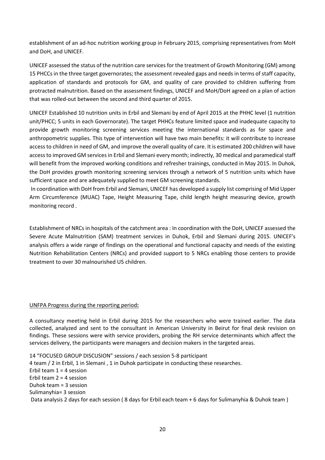establishment of an ad-hoc nutrition working group in February 2015, comprising representatives from MoH and DoH, and UNICEF.

UNICEF assessed the status of the nutrition care services for the treatment of Growth Monitoring (GM) among 15 PHCCs in the three target governorates; the assessment revealed gaps and needs in terms of staff capacity, application of standards and protocols for GM, and quality of care provided to children suffering from protracted malnutrition. Based on the assessment findings, UNICEF and MoH/DoH agreed on a plan of action that was rolled-out between the second and third quarter of 2015.

UNICEF Established 10 nutrition units in Erbil and Slemani by end of April 2015 at the PHHC level (1 nutrition unit/PHCC; 5 units in each Governorate). The target PHHCs feature limited space and inadequate capacity to provide growth monitoring screening services meeting the international standards as for space and anthropometric supplies. This type of intervention will have two main benefits: it will contribute to increase access to children in need of GM, and improve the overall quality of care. It is estimated 200 children will have access to improved GM services in Erbil and Slemani every month; indirectly, 30 medical and paramedical staff will benefit from the improved working conditions and refresher trainings, conducted in May 2015. In Duhok, the DoH provides growth monitoring screening services through a network of 5 nutrition units which have sufficient space and are adequately supplied to meet GM screening standards.

In coordination with DoH from Erbil and Slemani, UNICEF has developed a supply list comprising of Mid Upper Arm Circumference (MUAC) Tape, Height Measuring Tape, child length height measuring device, growth monitoring record .

Establishment of NRCs in hospitals of the catchment area : In coordination with the DoH, UNICEF assessed the Severe Acute Malnutrition (SAM) treatment services in Duhok, Erbil and Slemani during 2015. UNICEF's analysis offers a wide range of findings on the operational and functional capacity and needs of the existing Nutrition Rehabilitation Centers (NRCs) and provided support to 5 NRCs enabling those centers to provide treatment to over 30 malnourished U5 children.

# UNFPA Progress during the reporting period**:**

A consultancy meeting held in Erbil during 2015 for the researchers who were trained earlier. The data collected, analyzed and sent to the consultant in American University in Beirut for final desk revision on findings. These sessions were with service providers, probing the RH service determinants which affect the services delivery, the participants were managers and decision makers in the targeted areas.

14 "FOCUSED GROUP DISCUSION" sessions / each session 5-8 participant 4 team / 2 in Erbil, 1 in Slemani , 1 in Duhok participate in conducting these researches. Erbil team  $1 = 4$  session Erbil team 2 = 4 session Duhok team = 3 session Sulimanyhia= 3 session Data analysis 2 days for each session ( 8 days for Erbil each team + 6 days for Sulimanyhia & Duhok team )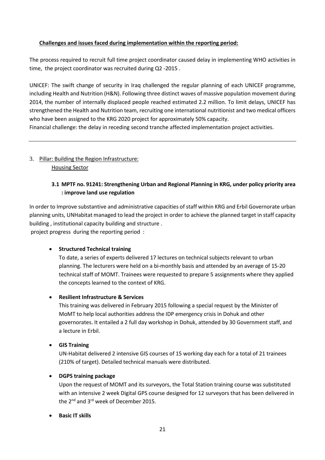# **Challenges and issues faced during implementation within the reporting period:**

The process required to recruit full time project coordinator caused delay in implementing WHO activities in time, the project coordinator was recruited during Q2 -2015 .

UNICEF: The swift change of security in Iraq challenged the regular planning of each UNICEF programme, including Health and Nutrition (H&N). Following three distinct waves of massive population movement during 2014, the number of internally displaced people reached estimated 2.2 million. To limit delays, UNICEF has strengthened the Health and Nutrition team, recruiting one international nutritionist and two medical officers who have been assigned to the KRG 2020 project for approximately 50% capacity.

Financial challenge: the delay in receding second tranche affected implementation project activities.

# 3. Pillar: Building the Region Infrastructure: Housing Sector

# **3.1 MPTF no. 91241: Strengthening Urban and Regional Planning in KRG, under policy priority area : improve land use regulation**

In order to Improve substantive and administrative capacities of staff within KRG and Erbil Governorate urban planning units, UNHabitat managed to lead the project in order to achieve the planned target in staff capacity building , institutional capacity building and structure .

project progress during the reporting period :

# • **Structured Technical training**

To date, a series of experts delivered 17 lectures on technical subjects relevant to urban planning. The lecturers were held on a bi-monthly basis and attended by an average of 15-20 technical staff of MOMT. Trainees were requested to prepare 5 assignments where they applied the concepts learned to the context of KRG.

# • **Resilient Infrastructure & Services**

This training was delivered in February 2015 following a special request by the Minister of MoMT to help local authorities address the IDP emergency crisis in Dohuk and other governorates. It entailed a 2 full day workshop in Dohuk, attended by 30 Government staff, and a lecture in Erbil.

# • **GIS Training**

UN-Habitat delivered 2 intensive GIS courses of 15 working day each for a total of 21 trainees (210% of target). Detailed technical manuals were distributed.

# • **DGPS training package**

Upon the request of MOMT and its surveyors, the Total Station training course was substituted with an intensive 2 week Digital GPS course designed for 12 surveyors that has been delivered in the 2<sup>nd</sup> and 3<sup>rd</sup> week of December 2015.

# • **Basic IT skills**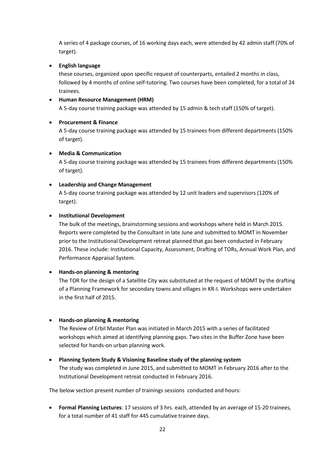A series of 4 package courses, of 16 working days each, were attended by 42 admin staff (70% of target).

# • **English language**

these courses, organized upon specific request of counterparts, entailed 2 months in class, followed by 4 months of online self-tutoring. Two courses have been completed, for a total of 24 trainees.

# • **Human Resource Management (HRM)**

A 5-day course training package was attended by 15 admin & tech staff (150% of target).

# • **Procurement & Finance**

A 5-day course training package was attended by 15 trainees from different departments (150% of target).

# • **Media & Communication**

A 5-day course training package was attended by 15 trainees from different departments (150% of target).

# • **Leadership and Change Management**

A 5-day course training package was attended by 12 unit leaders and supervisors (120% of target).

# • **Institutional Development**

The bulk of the meetings, brainstorming sessions and workshops where held in March 2015. Reports were completed by the Consultant in late June and submitted to MOMT in November prior to the Institutional Development retreat planned that gas been conducted in February 2016. These include: Institutional Capacity, Assessment, Drafting of TORs, Annual Work Plan, and Performance Appraisal System.

# • **Hands-on planning & mentoring**

The TOR for the design of a Satellite City was substituted at the request of MOMT by the drafting of a Planning Framework for secondary towns and villages in KR-I. Workshops were undertaken in the first half of 2015.

# • **Hands-on planning & mentoring**

The Review of Erbil Master Plan was initiated in March 2015 with a series of facilitated workshops which aimed at identifying planning gaps. Two sites in the Buffer Zone have been selected for hands-on urban planning work.

# • **Planning System Study & Visioning Baseline study of the planning system**

The study was completed in June 2015, and submitted to MOMT in February 2016 after to the Institutional Development retreat conducted in February 2016.

The below section present number of trainings sessions conducted and hours:

• **Formal Planning Lectures**: 17 sessions of 3 hrs. each, attended by an average of 15-20 trainees, for a total number of 41 staff for 445 cumulative trainee days.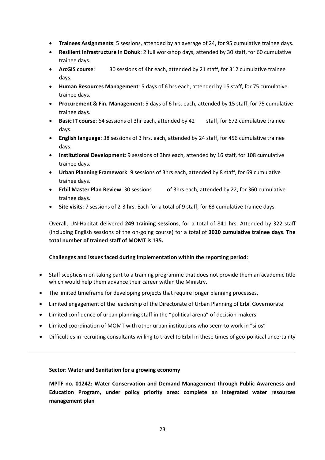- **Trainees Assignments**: 5 sessions, attended by an average of 24, for 95 cumulative trainee days.
- **Resilient Infrastructure in Dohuk**: 2 full workshop days, attended by 30 staff, for 60 cumulative trainee days.
- **ArcGIS course**: 30 sessions of 4hr each, attended by 21 staff, for 312 cumulative trainee days.
- **Human Resources Management**: 5 days of 6 hrs each, attended by 15 staff, for 75 cumulative trainee days.
- **Procurement & Fin. Management**: 5 days of 6 hrs. each, attended by 15 staff, for 75 cumulative trainee days.
- **Basic IT course**: 64 sessions of 3hr each, attended by 42 staff, for 672 cumulative trainee days.
- **English language**: 38 sessions of 3 hrs. each, attended by 24 staff, for 456 cumulative trainee days.
- **Institutional Development**: 9 sessions of 3hrs each, attended by 16 staff, for 108 cumulative trainee days.
- **Urban Planning Framework**: 9 sessions of 3hrs each, attended by 8 staff, for 69 cumulative trainee days.
- **Erbil Master Plan Review**: 30 sessions of 3hrs each, attended by 22, for 360 cumulative trainee days.
- **Site visits**: 7 sessions of 2-3 hrs. Each for a total of 9 staff, for 63 cumulative trainee days.

Overall, UN-Habitat delivered **249 training sessions**, for a total of 841 hrs. Attended by 322 staff (including English sessions of the on-going course) for a total of **3020 cumulative trainee days**. **The total number of trained staff of MOMT is 135.**

# **Challenges and issues faced during implementation within the reporting period:**

- Staff scepticism on taking part to a training programme that does not provide them an academic title which would help them advance their career within the Ministry.
- The limited timeframe for developing projects that require longer planning processes.
- Limited engagement of the leadership of the Directorate of Urban Planning of Erbil Governorate.
- Limited confidence of urban planning staff in the "political arena" of decision-makers.
- Limited coordination of MOMT with other urban institutions who seem to work in "silos"
- Difficulties in recruiting consultants willing to travel to Erbil in these times of geo-political uncertainty

#### **Sector: Water and Sanitation for a growing economy**

**MPTF no. 01242: Water Conservation and Demand Management through Public Awareness and Education Program, under policy priority area: complete an integrated water resources management plan**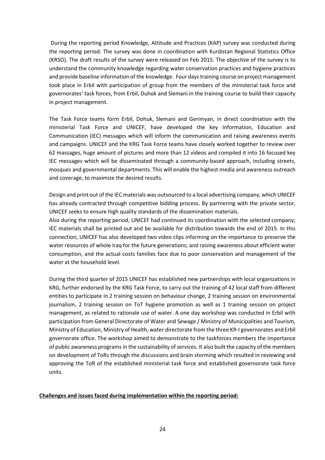During the reporting period Knowledge, Attitude and Practices (KAP) survey was conducted during the reporting period. The survey was done in coordination with Kurdistan Regional Statistics Office (KRSO). The draft results of the survey were released on Feb 2015. The objective of the survey is to understand the community knowledge regarding water conservation practices and hygiene practices and provide baseline information of the knowledge. Four days training course on project management took place in Erbil with participation of group from the members of the ministerial task force and governorates' task forces, from Erbil, Duhok and Slemani in the training course to build their capacity in project management.

The Task Force teams form Erbil, Dohuk, Slemani and Gerimyan, in direct coordination with the ministerial Task Force and UNICEF, have developed the key Information, Education and Communication (IEC) messages which will inform the communication and raising awareness events and campaigns. UNICEF and the KRG Task Force teams have closely worked together to review over 62 massages, huge amount of pictures and more than 12 videos and compiled it into 16 focused key IEC messages which will be disseminated through a community-based approach, including streets, mosques and governmental departments. This will enable the highest media and awareness outreach and coverage, to maximize the desired results.

Design and print out of the IEC materials was outsourced to a local advertising company, which UNICEF has already contracted through competitive bidding process. By partnering with the private sector, UNICEF seeks to ensure high quality standards of the dissemination materials.

Also during the reporting period, UNICEF had continued its coordination with the selected company; IEC materials shall be printed out and be available for distribution towards the end of 2015. In this connection, UNICEF has also developed two video clips informing on the importance to preserve the water resources of whole Iraq for the future generations; and raising awareness about efficient water consumption, and the actual costs families face due to poor conservation and management of the water at the household level.

During the third quarter of 2015 UNICEF has established new partnerships with local organizations in KRG, further endorsed by the KRG Task Force, to carry out the training of 42 local staff from different entities to participate in 2 training session on behaviour change, 2 training session on environmental journalism, 2 training session on ToT hygiene promotion as well as 1 training session on project management, as related to rationale use of water. A one day workshop was conducted in Erbil with participation from General Directorate of Water and Sewage / Ministry of Municipalities and Tourism, Ministry of Education, Ministry of Health, water directorate from the three KR-I governorates and Erbil governorate office. The workshop aimed to demonstrate to the taskforces members the importance of public awareness programs in the sustainability of services. It also built the capacity of the members on development of ToRs through the discussions and brain storming which resulted in reviewing and approving the ToR of the established ministerial task force and established governorate task force units.

#### **Challenges and issues faced during implementation within the reporting period:**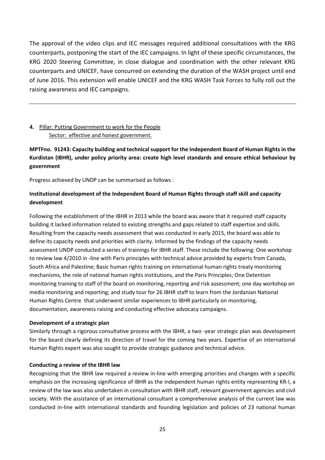The approval of the video clips and IEC messages required additional consultations with the KRG counterparts, postponing the start of the IEC campaigns. In light of these specific circumstances, the KRG 2020 Steering Committee, in close dialogue and coordination with the other relevant KRG counterparts and UNICEF, have concurred on extending the duration of the WASH project until end of June 2016. This extension will enable UNICEF and the KRG WASH Task Forces to fully roll out the raising awareness and IEC campaigns.

# **4.** Pillar: Putting Government to work for the People Sector: effective and honest government.

**MPTFno. 91243: Capacity building and technical support for the Independent Board of Human Rights in the Kurdistan (IBHR), under policy priority area: create high level standards and ensure ethical behaviour by government** 

Progress achieved by UNDP can be summarised as follows :

# **Institutional development of the Independent Board of Human Rights through staff skill and capacity development**

Following the establishment of the IBHR in 2013 while the board was aware that it required staff capacity building it lacked information related to existing strengths and gaps related to staff expertise and skills. Resulting from the capacity needs assessment that was conducted in early 2015, the board was able to define its capacity needs and priorities with clarity. Informed by the findings of the capacity needs assessment UNDP conducted a series of trainings for IBHR staff. These include the following: One workshop to review law 4/2010 in -line with Paris principles with technical advice provided by experts from Canada, South Africa and Palestine; Basic human rights training on international human rights treaty monitoring mechanisms, the role of national human rights institutions, and the Paris Principles; One Detention monitoring training to staff of the board on monitoring, reporting and risk assessment; one day workshop on media monitoring and reporting; and study tour for 26 IBHR staff to learn from the Jordanian National Human Rights Centre that underwent similar experiences to IBHR particularly on monitoring, documentation, awareness raising and conducting effective advocacy campaigns.

# **Development of a strategic plan**

Similarly through a rigorous consultative process with the IBHR, a two -year strategic plan was development for the board clearly defining its direction of travel for the coming two years. Expertise of an international Human Rights expert was also sought to provide strategic guidance and technical advice.

# **Conducting a review of the IBHR law**

Recognizing that the IBHR law required a review in-line with emerging priorities and changes with a specific emphasis on the increasing significance of IBHR as the independent human rights entity representing KR-I, a review of the law was also undertaken in consultation with IBHR staff, relevant government agencies and civil society. With the assistance of an international consultant a comprehensive analysis of the current law was conducted in-line with international standards and founding legislation and policies of 23 national human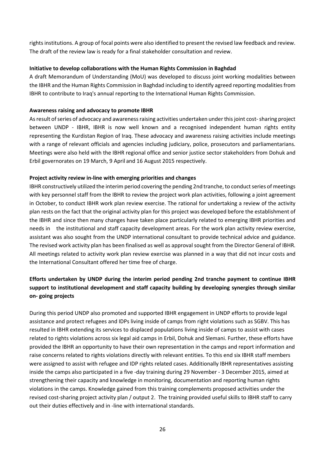rights institutions. A group of focal points were also identified to present the revised law feedback and review. The draft of the review law is ready for a final stakeholder consultation and review.

### **Initiative to develop collaborations with the Human Rights Commission in Baghdad**

A draft Memorandum of Understanding (MoU) was developed to discuss joint working modalities between the IBHR and the Human Rights Commission in Baghdad including to identify agreed reporting modalities from IBHR to contribute to Iraq's annual reporting to the International Human Rights Commission.

### **Awareness raising and advocacy to promote IBHR**

As result of series of advocacy and awareness raising activities undertaken under this joint cost-sharing project between UNDP - IBHR, IBHR is now well known and a recognised independent human rights entity representing the Kurdistan Region of Iraq. These advocacy and awareness raising activities include meetings with a range of relevant officials and agencies including judiciary, police, prosecutors and parliamentarians. Meetings were also held with the IBHR regional office and senior justice sector stakeholders from Dohuk and Erbil governorates on 19 March, 9 April and 16 August 2015 respectively.

# **Project activity review in-line with emerging priorities and changes**

IBHR constructively utilized the interim period covering the pending 2nd tranche, to conduct series of meetings with key personnel staff from the IBHR to review the project work plan activities, following a joint agreement in October, to conduct IBHR work plan review exercise. The rational for undertaking a review of the activity plan rests on the fact that the original activity plan for this project was developed before the establishment of the IBHR and since then many changes have taken place particularly related to emerging IBHR priorities and needs in the institutional and staff capacity development areas. For the work plan activity review exercise, assistant was also sought from the UNDP international consultant to provide technical advice and guidance. The revised work activity plan has been finalised as well as approval sought from the Director General of IBHR. All meetings related to activity work plan review exercise was planned in a way that did not incur costs and the International Consultant offered her time free of charge.

# **Efforts undertaken by UNDP during the interim period pending 2nd tranche payment to continue IBHR support to institutional development and staff capacity building by developing synergies through similar on- going projects**

During this period UNDP also promoted and supported IBHR engagement in UNDP efforts to provide legal assistance and protect refugees and IDPs living inside of camps from right violations such as SGBV. This has resulted in IBHR extending its services to displaced populations living inside of camps to assist with cases related to rights violations across six legal aid camps in Erbil, Dohuk and Slemani. Further, these efforts have provided the IBHR an opportunity to have their own representation in the camps and report information and raise concerns related to rights violations directly with relevant entities. To this end six IBHR staff members were assigned to assist with refugee and IDP rights related cases. Additionally IBHR representatives assisting inside the camps also participated in a five -day training during 29 November - 3 December 2015, aimed at strengthening their capacity and knowledge in monitoring, documentation and reporting human rights violations in the camps. Knowledge gained from this training complements proposed activities under the revised cost-sharing project activity plan / output 2. The training provided useful skills to IBHR staff to carry out their duties effectively and in -line with international standards.